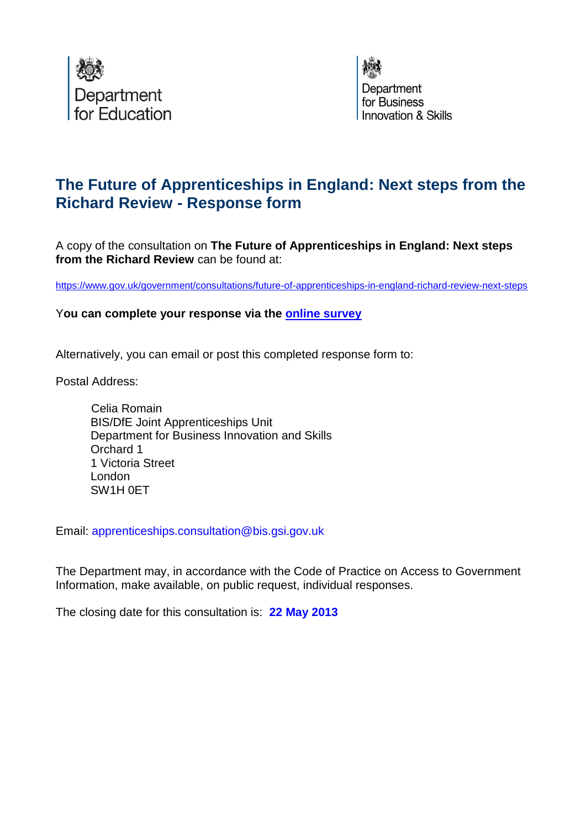



# **The Future of Apprenticeships in England: Next steps from the Richard Review - Response form**

A copy of the consultation on **The Future of Apprenticeships in England: Next steps from the Richard Review** can be found at:

<https://www.gov.uk/government/consultations/future-of-apprenticeships-in-england-richard-review-next-steps>

Y**ou can complete your response via the [online survey](https://www.surveymonkey.com/s/3J9B33L)**

Alternatively, you can email or post this completed response form to:

Postal Address:

Celia Romain BIS/DfE Joint Apprenticeships Unit Department for Business Innovation and Skills Orchard 1 1 Victoria Street London SW1H 0ET

Email: apprenticeships.consultation@bis.gsi.gov.uk

The Department may, in accordance with the Code of Practice on Access to Government Information, make available, on public request, individual responses.

The closing date for this consultation is: **22 May 2013**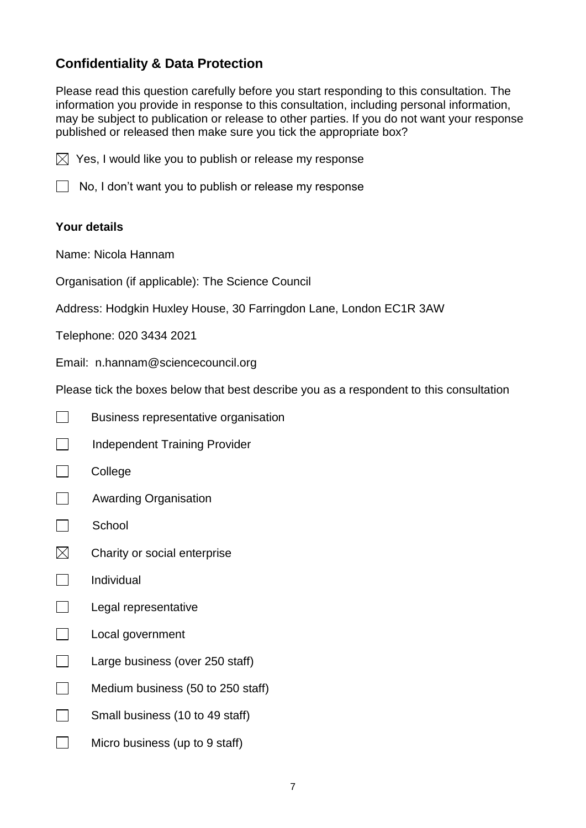## **Confidentiality & Data Protection**

Please read this question carefully before you start responding to this consultation. The information you provide in response to this consultation, including personal information, may be subject to publication or release to other parties. If you do not want your response published or released then make sure you tick the appropriate box?

 $\boxtimes$  Yes, I would like you to publish or release my response



 $\Box$  No, I don't want you to publish or release my response

## **Your details**

Name: Nicola Hannam

Organisation (if applicable): The Science Council

Address: Hodgkin Huxley House, 30 Farringdon Lane, London EC1R 3AW

Telephone: 020 3434 2021

Email: n.hannam@sciencecouncil.org

Please tick the boxes below that best describe you as a respondent to this consultation

- $\Box$ Business representative organisation
- **Independent Training Provider**
- $\Box$ College
- **Example 2** Awarding Organisation
- $\Box$  School
- $\boxtimes$ Charity or social enterprise
- $\Box$ Individual
- $\Box$ Legal representative
- $\Box$ Local government
- $\Box$ Large business (over 250 staff)
- $\Box$ Medium business (50 to 250 staff)
- $\Box$ Small business (10 to 49 staff)
- $\Box$ Micro business (up to 9 staff)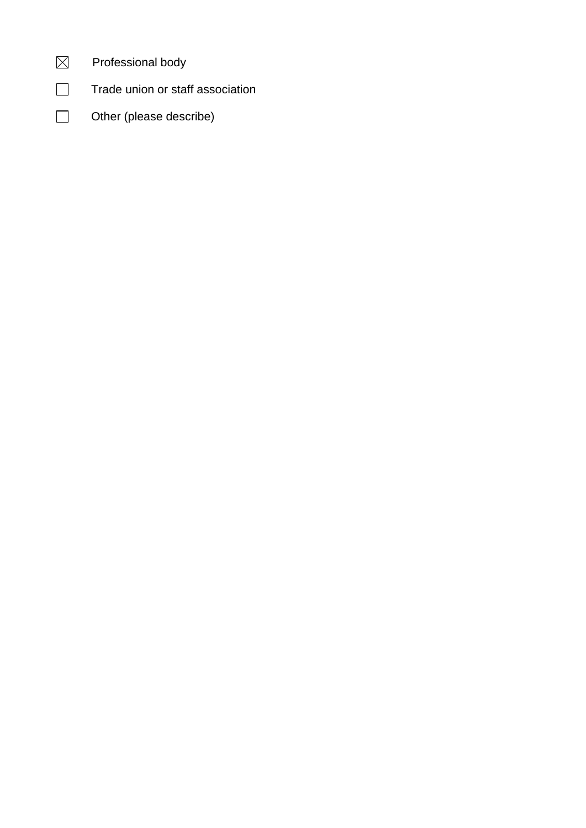| Professional body |  |
|-------------------|--|
|                   |  |

 $\hfill \square$ Trade union or staff association

 $\overline{\phantom{a}}$ Other (please describe)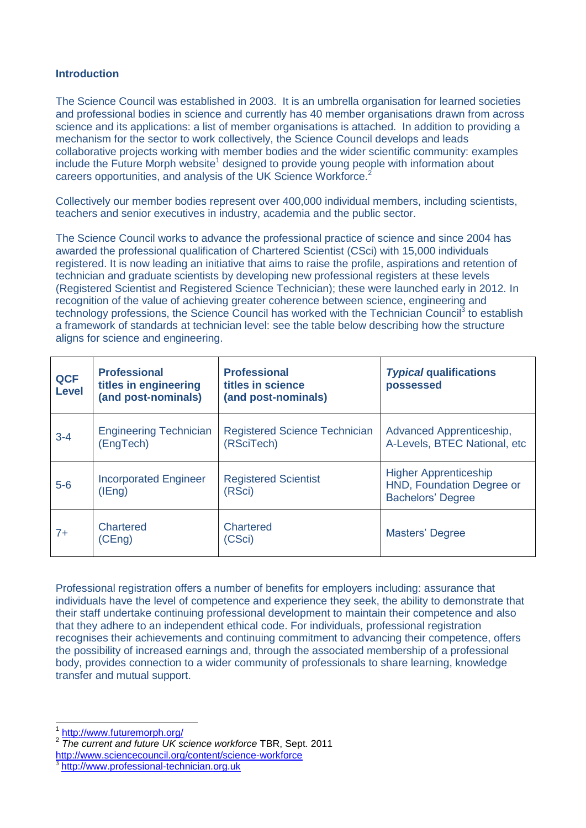#### **Introduction**

The Science Council was established in 2003. It is an umbrella organisation for learned societies and professional bodies in science and currently has 40 member organisations drawn from across science and its applications: a list of member organisations is attached. In addition to providing a mechanism for the sector to work collectively, the Science Council develops and leads collaborative projects working with member bodies and the wider scientific community: examples include the Future Morph website<sup>1</sup> designed to provide young people with information about careers opportunities, and analysis of the UK Science Workforce.<sup>2</sup>

Collectively our member bodies represent over 400,000 individual members, including scientists, teachers and senior executives in industry, academia and the public sector.

The Science Council works to advance the professional practice of science and since 2004 has awarded the professional qualification of Chartered Scientist (CSci) with 15,000 individuals registered. It is now leading an initiative that aims to raise the profile, aspirations and retention of technician and graduate scientists by developing new professional registers at these levels (Registered Scientist and Registered Science Technician); these were launched early in 2012. In recognition of the value of achieving greater coherence between science, engineering and technology professions, the Science Council has worked with the Technician Council<sup>3</sup> to establish a framework of standards at technician level: see the table below describing how the structure aligns for science and engineering.

| <b>QCF</b><br><b>Level</b> | <b>Professional</b><br>titles in engineering<br>(and post-nominals) | <b>Professional</b><br>titles in science<br>(and post-nominals) | <b>Typical qualifications</b><br>possessed                                            |
|----------------------------|---------------------------------------------------------------------|-----------------------------------------------------------------|---------------------------------------------------------------------------------------|
| $3 - 4$                    | <b>Engineering Technician</b><br>(EngTech)                          | <b>Registered Science Technician</b><br>(RSciTech)              | Advanced Apprenticeship,<br>A-Levels, BTEC National, etc                              |
| $5-6$                      | <b>Incorporated Engineer</b><br>(IFnq)                              | <b>Registered Scientist</b><br>(RSci)                           | <b>Higher Apprenticeship</b><br>HND, Foundation Degree or<br><b>Bachelors' Degree</b> |
| $7+$                       | <b>Chartered</b><br>(CEng)                                          | Chartered<br>(CSci)                                             | Masters' Degree                                                                       |

Professional registration offers a number of benefits for employers including: assurance that individuals have the level of competence and experience they seek, the ability to demonstrate that their staff undertake continuing professional development to maintain their competence and also that they adhere to an independent ethical code. For individuals, professional registration recognises their achievements and continuing commitment to advancing their competence, offers the possibility of increased earnings and, through the associated membership of a professional body, provides connection to a wider community of professionals to share learning, knowledge transfer and mutual support.

 $\overline{\phantom{a}}$ 

<sup>1</sup> <http://www.futuremorph.org/>

<sup>2</sup> *The current and future UK science workforce* TBR, Sept. 2011

<http://www.sciencecouncil.org/content/science-workforce>

<sup>3</sup> [http://www.professional-technician.org.uk](http://www.professional-technician.org.uk/)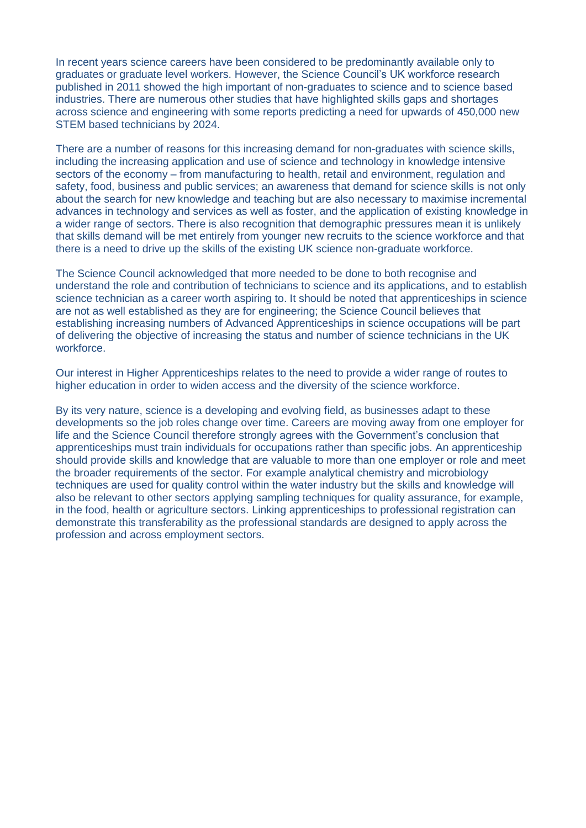In recent years science careers have been considered to be predominantly available only to graduates or graduate level workers. However, the Science Council's UK workforce research published in 2011 showed the high important of non-graduates to science and to science based industries. There are numerous other studies that have highlighted skills gaps and shortages across science and engineering with some reports predicting a need for upwards of 450,000 new STEM based technicians by 2024.

There are a number of reasons for this increasing demand for non-graduates with science skills, including the increasing application and use of science and technology in knowledge intensive sectors of the economy – from manufacturing to health, retail and environment, regulation and safety, food, business and public services; an awareness that demand for science skills is not only about the search for new knowledge and teaching but are also necessary to maximise incremental advances in technology and services as well as foster, and the application of existing knowledge in a wider range of sectors. There is also recognition that demographic pressures mean it is unlikely that skills demand will be met entirely from younger new recruits to the science workforce and that there is a need to drive up the skills of the existing UK science non-graduate workforce.

The Science Council acknowledged that more needed to be done to both recognise and understand the role and contribution of technicians to science and its applications, and to establish science technician as a career worth aspiring to. It should be noted that apprenticeships in science are not as well established as they are for engineering; the Science Council believes that establishing increasing numbers of Advanced Apprenticeships in science occupations will be part of delivering the objective of increasing the status and number of science technicians in the UK workforce.

Our interest in Higher Apprenticeships relates to the need to provide a wider range of routes to higher education in order to widen access and the diversity of the science workforce.

By its very nature, science is a developing and evolving field, as businesses adapt to these developments so the job roles change over time. Careers are moving away from one employer for life and the Science Council therefore strongly agrees with the Government's conclusion that apprenticeships must train individuals for occupations rather than specific jobs. An apprenticeship should provide skills and knowledge that are valuable to more than one employer or role and meet the broader requirements of the sector. For example analytical chemistry and microbiology techniques are used for quality control within the water industry but the skills and knowledge will also be relevant to other sectors applying sampling techniques for quality assurance, for example, in the food, health or agriculture sectors. Linking apprenticeships to professional registration can demonstrate this transferability as the professional standards are designed to apply across the profession and across employment sectors.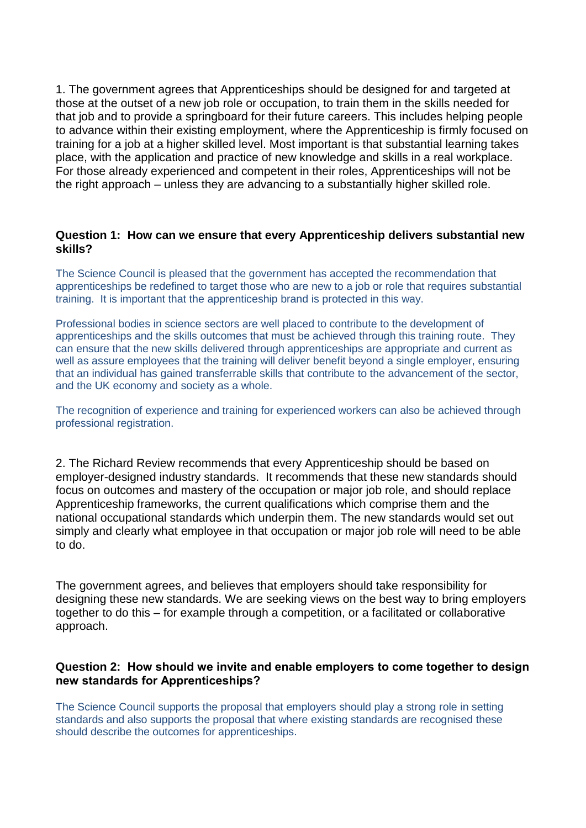1. The government agrees that Apprenticeships should be designed for and targeted at those at the outset of a new job role or occupation, to train them in the skills needed for that job and to provide a springboard for their future careers. This includes helping people to advance within their existing employment, where the Apprenticeship is firmly focused on training for a job at a higher skilled level. Most important is that substantial learning takes place, with the application and practice of new knowledge and skills in a real workplace. For those already experienced and competent in their roles, Apprenticeships will not be the right approach – unless they are advancing to a substantially higher skilled role.

#### **Question 1: How can we ensure that every Apprenticeship delivers substantial new skills?**

The Science Council is pleased that the government has accepted the recommendation that apprenticeships be redefined to target those who are new to a job or role that requires substantial training. It is important that the apprenticeship brand is protected in this way.

Professional bodies in science sectors are well placed to contribute to the development of apprenticeships and the skills outcomes that must be achieved through this training route. They can ensure that the new skills delivered through apprenticeships are appropriate and current as well as assure employees that the training will deliver benefit beyond a single employer, ensuring that an individual has gained transferrable skills that contribute to the advancement of the sector, and the UK economy and society as a whole.

The recognition of experience and training for experienced workers can also be achieved through professional registration.

2. The Richard Review recommends that every Apprenticeship should be based on employer-designed industry standards. It recommends that these new standards should focus on outcomes and mastery of the occupation or major job role, and should replace Apprenticeship frameworks, the current qualifications which comprise them and the national occupational standards which underpin them. The new standards would set out simply and clearly what employee in that occupation or major job role will need to be able to do.

The government agrees, and believes that employers should take responsibility for designing these new standards. We are seeking views on the best way to bring employers together to do this – for example through a competition, or a facilitated or collaborative approach.

## **Question 2: How should we invite and enable employers to come together to design new standards for Apprenticeships?**

The Science Council supports the proposal that employers should play a strong role in setting standards and also supports the proposal that where existing standards are recognised these should describe the outcomes for apprenticeships.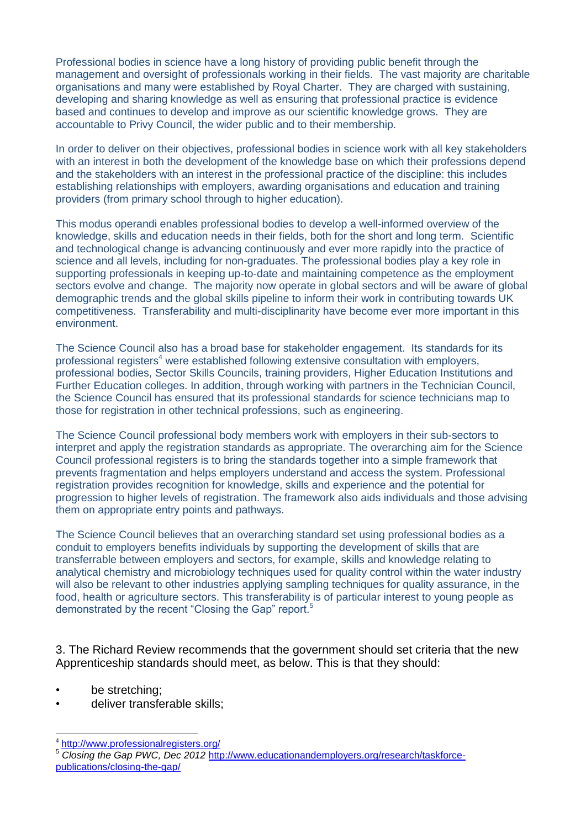Professional bodies in science have a long history of providing public benefit through the management and oversight of professionals working in their fields. The vast majority are charitable organisations and many were established by Royal Charter. They are charged with sustaining, developing and sharing knowledge as well as ensuring that professional practice is evidence based and continues to develop and improve as our scientific knowledge grows. They are accountable to Privy Council, the wider public and to their membership.

In order to deliver on their objectives, professional bodies in science work with all key stakeholders with an interest in both the development of the knowledge base on which their professions depend and the stakeholders with an interest in the professional practice of the discipline: this includes establishing relationships with employers, awarding organisations and education and training providers (from primary school through to higher education).

This modus operandi enables professional bodies to develop a well-informed overview of the knowledge, skills and education needs in their fields, both for the short and long term. Scientific and technological change is advancing continuously and ever more rapidly into the practice of science and all levels, including for non-graduates. The professional bodies play a key role in supporting professionals in keeping up-to-date and maintaining competence as the employment sectors evolve and change. The majority now operate in global sectors and will be aware of global demographic trends and the global skills pipeline to inform their work in contributing towards UK competitiveness. Transferability and multi-disciplinarity have become ever more important in this environment.

The Science Council also has a broad base for stakeholder engagement. Its standards for its professional registers<sup>4</sup> were established following extensive consultation with employers, professional bodies, Sector Skills Councils, training providers, Higher Education Institutions and Further Education colleges. In addition, through working with partners in the Technician Council, the Science Council has ensured that its professional standards for science technicians map to those for registration in other technical professions, such as engineering.

The Science Council professional body members work with employers in their sub-sectors to interpret and apply the registration standards as appropriate. The overarching aim for the Science Council professional registers is to bring the standards together into a simple framework that prevents fragmentation and helps employers understand and access the system. Professional registration provides recognition for knowledge, skills and experience and the potential for progression to higher levels of registration. The framework also aids individuals and those advising them on appropriate entry points and pathways.

The Science Council believes that an overarching standard set using professional bodies as a conduit to employers benefits individuals by supporting the development of skills that are transferrable between employers and sectors, for example, skills and knowledge relating to analytical chemistry and microbiology techniques used for quality control within the water industry will also be relevant to other industries applying sampling techniques for quality assurance, in the food, health or agriculture sectors. This transferability is of particular interest to young people as demonstrated by the recent "Closing the Gap" report.<sup>5</sup>

3. The Richard Review recommends that the government should set criteria that the new Apprenticeship standards should meet, as below. This is that they should:

- be stretching;
- deliver transferable skills;

 4 <http://www.professionalregisters.org/>

<sup>5</sup> *Closing the Gap PWC, Dec 2012* [http://www.educationandemployers.org/research/taskforce](http://www.educationandemployers.org/research/taskforce-publications/closing-the-gap/)[publications/closing-the-gap/](http://www.educationandemployers.org/research/taskforce-publications/closing-the-gap/)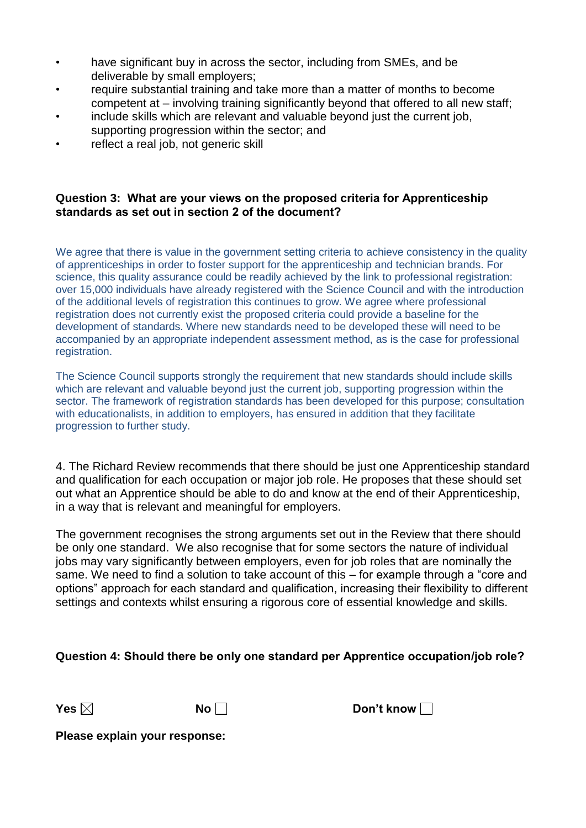- have significant buy in across the sector, including from SMEs, and be deliverable by small employers;
- require substantial training and take more than a matter of months to become competent at – involving training significantly beyond that offered to all new staff;
- include skills which are relevant and valuable beyond just the current job, supporting progression within the sector; and
- reflect a real job, not generic skill

## **Question 3: What are your views on the proposed criteria for Apprenticeship standards as set out in section 2 of the document?**

We agree that there is value in the government setting criteria to achieve consistency in the quality of apprenticeships in order to foster support for the apprenticeship and technician brands. For science, this quality assurance could be readily achieved by the link to professional registration: over 15,000 individuals have already registered with the Science Council and with the introduction of the additional levels of registration this continues to grow. We agree where professional registration does not currently exist the proposed criteria could provide a baseline for the development of standards. Where new standards need to be developed these will need to be accompanied by an appropriate independent assessment method, as is the case for professional registration.

The Science Council supports strongly the requirement that new standards should include skills which are relevant and valuable beyond just the current job, supporting progression within the sector. The framework of registration standards has been developed for this purpose; consultation with educationalists, in addition to employers, has ensured in addition that they facilitate progression to further study.

4. The Richard Review recommends that there should be just one Apprenticeship standard and qualification for each occupation or major job role. He proposes that these should set out what an Apprentice should be able to do and know at the end of their Apprenticeship, in a way that is relevant and meaningful for employers.

The government recognises the strong arguments set out in the Review that there should be only one standard. We also recognise that for some sectors the nature of individual jobs may vary significantly between employers, even for job roles that are nominally the same. We need to find a solution to take account of this – for example through a "core and options" approach for each standard and qualification, increasing their flexibility to different settings and contexts whilst ensuring a rigorous core of essential knowledge and skills.

## **Question 4: Should there be only one standard per Apprentice occupation/job role?**

**Yes ⊠** No Don't know D

**Please explain your response:**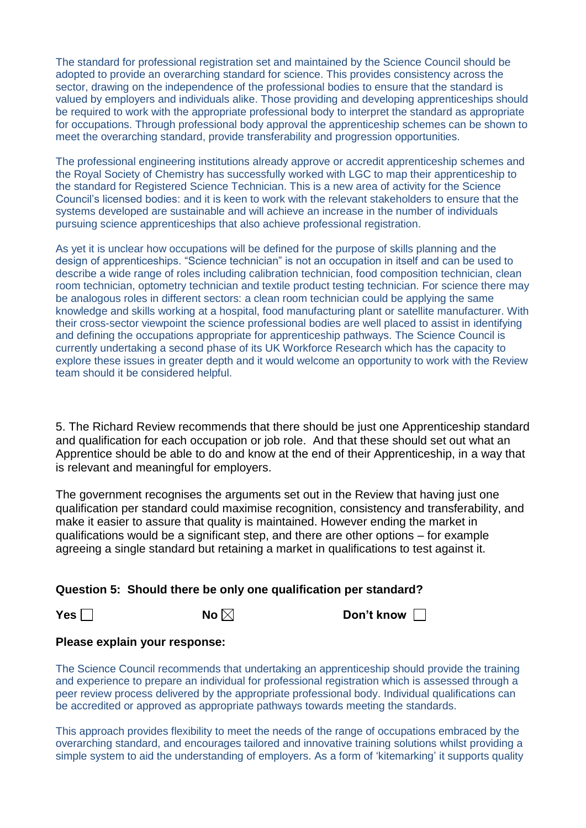The standard for professional registration set and maintained by the Science Council should be adopted to provide an overarching standard for science. This provides consistency across the sector, drawing on the independence of the professional bodies to ensure that the standard is valued by employers and individuals alike. Those providing and developing apprenticeships should be required to work with the appropriate professional body to interpret the standard as appropriate for occupations. Through professional body approval the apprenticeship schemes can be shown to meet the overarching standard, provide transferability and progression opportunities.

The professional engineering institutions already approve or accredit apprenticeship schemes and the Royal Society of Chemistry has successfully worked with LGC to map their apprenticeship to the standard for Registered Science Technician. This is a new area of activity for the Science Council's licensed bodies: and it is keen to work with the relevant stakeholders to ensure that the systems developed are sustainable and will achieve an increase in the number of individuals pursuing science apprenticeships that also achieve professional registration.

As yet it is unclear how occupations will be defined for the purpose of skills planning and the design of apprenticeships. "Science technician" is not an occupation in itself and can be used to describe a wide range of roles including calibration technician, food composition technician, clean room technician, optometry technician and textile product testing technician. For science there may be analogous roles in different sectors: a clean room technician could be applying the same knowledge and skills working at a hospital, food manufacturing plant or satellite manufacturer. With their cross-sector viewpoint the science professional bodies are well placed to assist in identifying and defining the occupations appropriate for apprenticeship pathways. The Science Council is currently undertaking a second phase of its UK Workforce Research which has the capacity to explore these issues in greater depth and it would welcome an opportunity to work with the Review team should it be considered helpful.

5. The Richard Review recommends that there should be just one Apprenticeship standard and qualification for each occupation or job role. And that these should set out what an Apprentice should be able to do and know at the end of their Apprenticeship, in a way that is relevant and meaningful for employers.

The government recognises the arguments set out in the Review that having just one qualification per standard could maximise recognition, consistency and transferability, and make it easier to assure that quality is maintained. However ending the market in qualifications would be a significant step, and there are other options – for example agreeing a single standard but retaining a market in qualifications to test against it.

## **Question 5: Should there be only one qualification per standard?**

**Yes □ No ⊠ Don't know □** 

## **Please explain your response:**

The Science Council recommends that undertaking an apprenticeship should provide the training and experience to prepare an individual for professional registration which is assessed through a peer review process delivered by the appropriate professional body. Individual qualifications can be accredited or approved as appropriate pathways towards meeting the standards.

This approach provides flexibility to meet the needs of the range of occupations embraced by the overarching standard, and encourages tailored and innovative training solutions whilst providing a simple system to aid the understanding of employers. As a form of 'kitemarking' it supports quality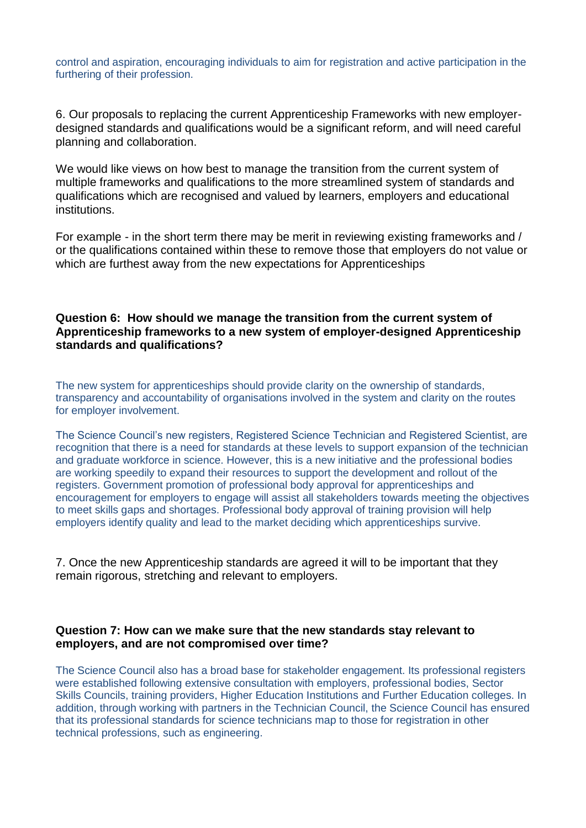control and aspiration, encouraging individuals to aim for registration and active participation in the furthering of their profession.

6. Our proposals to replacing the current Apprenticeship Frameworks with new employerdesigned standards and qualifications would be a significant reform, and will need careful planning and collaboration.

We would like views on how best to manage the transition from the current system of multiple frameworks and qualifications to the more streamlined system of standards and qualifications which are recognised and valued by learners, employers and educational institutions.

For example - in the short term there may be merit in reviewing existing frameworks and / or the qualifications contained within these to remove those that employers do not value or which are furthest away from the new expectations for Apprenticeships

#### **Question 6: How should we manage the transition from the current system of Apprenticeship frameworks to a new system of employer-designed Apprenticeship standards and qualifications?**

The new system for apprenticeships should provide clarity on the ownership of standards, transparency and accountability of organisations involved in the system and clarity on the routes for employer involvement.

The Science Council's new registers, Registered Science Technician and Registered Scientist, are recognition that there is a need for standards at these levels to support expansion of the technician and graduate workforce in science. However, this is a new initiative and the professional bodies are working speedily to expand their resources to support the development and rollout of the registers. Government promotion of professional body approval for apprenticeships and encouragement for employers to engage will assist all stakeholders towards meeting the objectives to meet skills gaps and shortages. Professional body approval of training provision will help employers identify quality and lead to the market deciding which apprenticeships survive.

7. Once the new Apprenticeship standards are agreed it will to be important that they remain rigorous, stretching and relevant to employers.

## **Question 7: How can we make sure that the new standards stay relevant to employers, and are not compromised over time?**

The Science Council also has a broad base for stakeholder engagement. Its professional registers were established following extensive consultation with employers, professional bodies, Sector Skills Councils, training providers, Higher Education Institutions and Further Education colleges. In addition, through working with partners in the Technician Council, the Science Council has ensured that its professional standards for science technicians map to those for registration in other technical professions, such as engineering.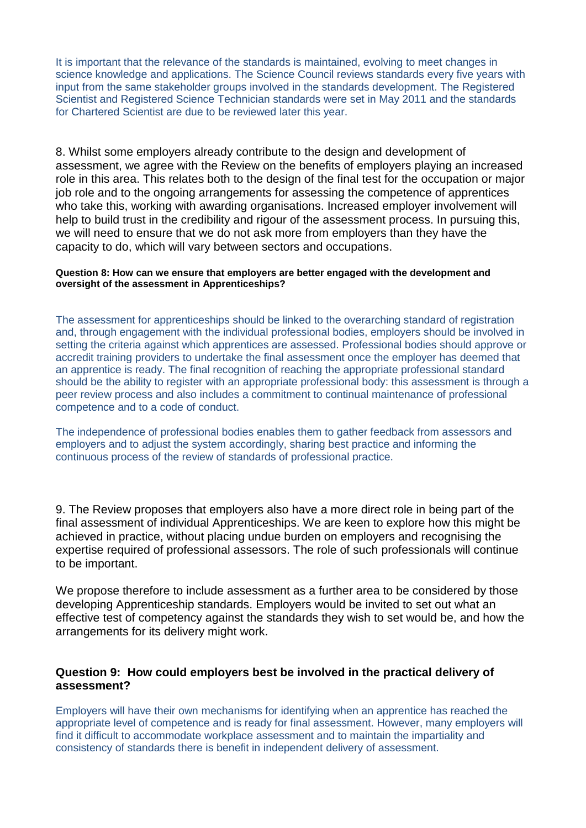It is important that the relevance of the standards is maintained, evolving to meet changes in science knowledge and applications. The Science Council reviews standards every five years with input from the same stakeholder groups involved in the standards development. The Registered Scientist and Registered Science Technician standards were set in May 2011 and the standards for Chartered Scientist are due to be reviewed later this year.

8. Whilst some employers already contribute to the design and development of assessment, we agree with the Review on the benefits of employers playing an increased role in this area. This relates both to the design of the final test for the occupation or major job role and to the ongoing arrangements for assessing the competence of apprentices who take this, working with awarding organisations. Increased employer involvement will help to build trust in the credibility and rigour of the assessment process. In pursuing this, we will need to ensure that we do not ask more from employers than they have the capacity to do, which will vary between sectors and occupations.

#### **Question 8: How can we ensure that employers are better engaged with the development and oversight of the assessment in Apprenticeships?**

The assessment for apprenticeships should be linked to the overarching standard of registration and, through engagement with the individual professional bodies, employers should be involved in setting the criteria against which apprentices are assessed. Professional bodies should approve or accredit training providers to undertake the final assessment once the employer has deemed that an apprentice is ready. The final recognition of reaching the appropriate professional standard should be the ability to register with an appropriate professional body: this assessment is through a peer review process and also includes a commitment to continual maintenance of professional competence and to a code of conduct.

The independence of professional bodies enables them to gather feedback from assessors and employers and to adjust the system accordingly, sharing best practice and informing the continuous process of the review of standards of professional practice.

9. The Review proposes that employers also have a more direct role in being part of the final assessment of individual Apprenticeships. We are keen to explore how this might be achieved in practice, without placing undue burden on employers and recognising the expertise required of professional assessors. The role of such professionals will continue to be important.

We propose therefore to include assessment as a further area to be considered by those developing Apprenticeship standards. Employers would be invited to set out what an effective test of competency against the standards they wish to set would be, and how the arrangements for its delivery might work.

## **Question 9: How could employers best be involved in the practical delivery of assessment?**

Employers will have their own mechanisms for identifying when an apprentice has reached the appropriate level of competence and is ready for final assessment. However, many employers will find it difficult to accommodate workplace assessment and to maintain the impartiality and consistency of standards there is benefit in independent delivery of assessment.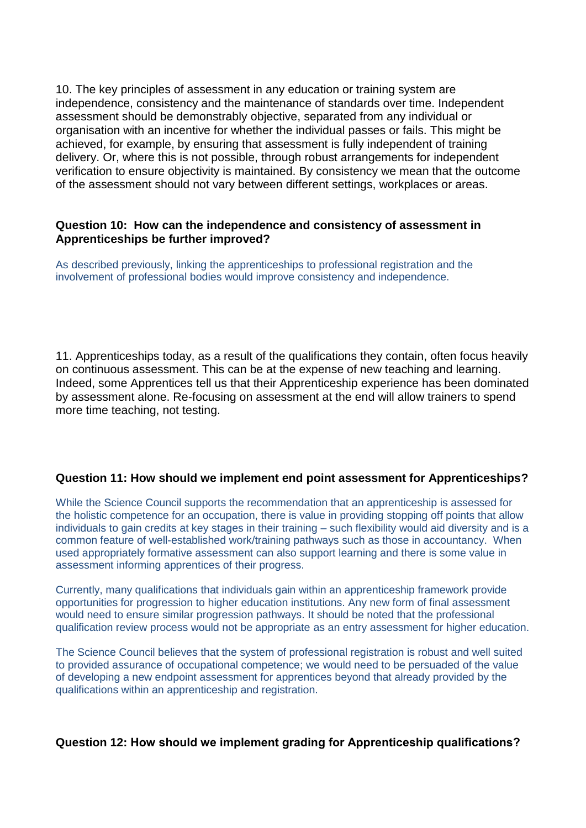10. The key principles of assessment in any education or training system are independence, consistency and the maintenance of standards over time. Independent assessment should be demonstrably objective, separated from any individual or organisation with an incentive for whether the individual passes or fails. This might be achieved, for example, by ensuring that assessment is fully independent of training delivery. Or, where this is not possible, through robust arrangements for independent verification to ensure objectivity is maintained. By consistency we mean that the outcome of the assessment should not vary between different settings, workplaces or areas.

#### **Question 10: How can the independence and consistency of assessment in Apprenticeships be further improved?**

As described previously, linking the apprenticeships to professional registration and the involvement of professional bodies would improve consistency and independence.

11. Apprenticeships today, as a result of the qualifications they contain, often focus heavily on continuous assessment. This can be at the expense of new teaching and learning. Indeed, some Apprentices tell us that their Apprenticeship experience has been dominated by assessment alone. Re-focusing on assessment at the end will allow trainers to spend more time teaching, not testing.

## **Question 11: How should we implement end point assessment for Apprenticeships?**

While the Science Council supports the recommendation that an apprenticeship is assessed for the holistic competence for an occupation, there is value in providing stopping off points that allow individuals to gain credits at key stages in their training – such flexibility would aid diversity and is a common feature of well-established work/training pathways such as those in accountancy. When used appropriately formative assessment can also support learning and there is some value in assessment informing apprentices of their progress.

Currently, many qualifications that individuals gain within an apprenticeship framework provide opportunities for progression to higher education institutions. Any new form of final assessment would need to ensure similar progression pathways. It should be noted that the professional qualification review process would not be appropriate as an entry assessment for higher education.

The Science Council believes that the system of professional registration is robust and well suited to provided assurance of occupational competence; we would need to be persuaded of the value of developing a new endpoint assessment for apprentices beyond that already provided by the qualifications within an apprenticeship and registration.

## **Question 12: How should we implement grading for Apprenticeship qualifications?**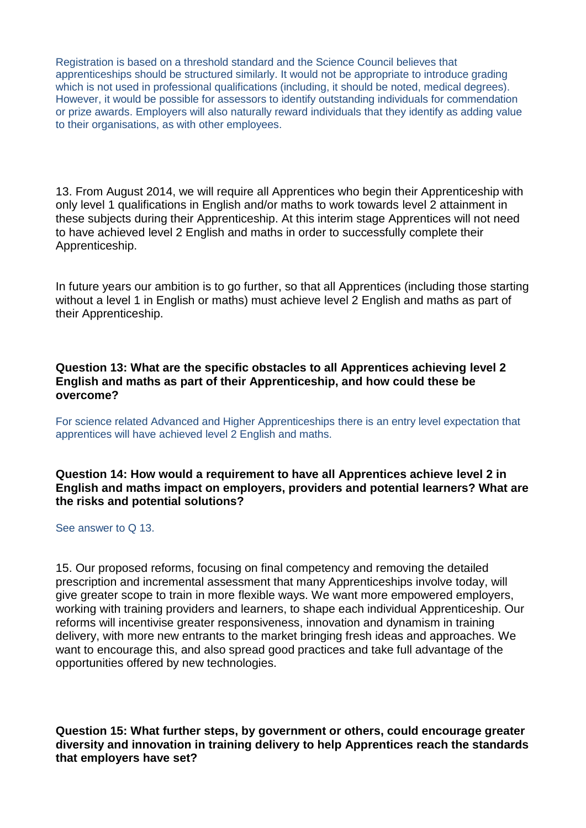Registration is based on a threshold standard and the Science Council believes that apprenticeships should be structured similarly. It would not be appropriate to introduce grading which is not used in professional qualifications (including, it should be noted, medical degrees). However, it would be possible for assessors to identify outstanding individuals for commendation or prize awards. Employers will also naturally reward individuals that they identify as adding value to their organisations, as with other employees.

13. From August 2014, we will require all Apprentices who begin their Apprenticeship with only level 1 qualifications in English and/or maths to work towards level 2 attainment in these subjects during their Apprenticeship. At this interim stage Apprentices will not need to have achieved level 2 English and maths in order to successfully complete their Apprenticeship.

In future years our ambition is to go further, so that all Apprentices (including those starting without a level 1 in English or maths) must achieve level 2 English and maths as part of their Apprenticeship.

**Question 13: What are the specific obstacles to all Apprentices achieving level 2 English and maths as part of their Apprenticeship, and how could these be overcome?**

For science related Advanced and Higher Apprenticeships there is an entry level expectation that apprentices will have achieved level 2 English and maths.

**Question 14: How would a requirement to have all Apprentices achieve level 2 in English and maths impact on employers, providers and potential learners? What are the risks and potential solutions?** 

#### See answer to Q 13.

15. Our proposed reforms, focusing on final competency and removing the detailed prescription and incremental assessment that many Apprenticeships involve today, will give greater scope to train in more flexible ways. We want more empowered employers, working with training providers and learners, to shape each individual Apprenticeship. Our reforms will incentivise greater responsiveness, innovation and dynamism in training delivery, with more new entrants to the market bringing fresh ideas and approaches. We want to encourage this, and also spread good practices and take full advantage of the opportunities offered by new technologies.

**Question 15: What further steps, by government or others, could encourage greater diversity and innovation in training delivery to help Apprentices reach the standards that employers have set?**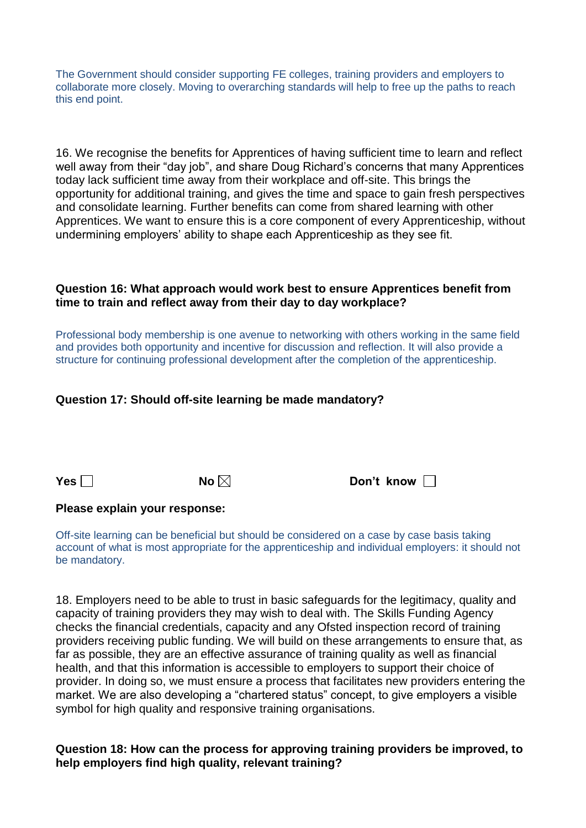The Government should consider supporting FE colleges, training providers and employers to collaborate more closely. Moving to overarching standards will help to free up the paths to reach this end point.

16. We recognise the benefits for Apprentices of having sufficient time to learn and reflect well away from their "day job", and share Doug Richard's concerns that many Apprentices today lack sufficient time away from their workplace and off-site. This brings the opportunity for additional training, and gives the time and space to gain fresh perspectives and consolidate learning. Further benefits can come from shared learning with other Apprentices. We want to ensure this is a core component of every Apprenticeship, without undermining employers' ability to shape each Apprenticeship as they see fit.

## **Question 16: What approach would work best to ensure Apprentices benefit from time to train and reflect away from their day to day workplace?**

Professional body membership is one avenue to networking with others working in the same field and provides both opportunity and incentive for discussion and reflection. It will also provide a structure for continuing professional development after the completion of the apprenticeship.

## **Question 17: Should off-site learning be made mandatory?**

**Yes □ No ⊠ Don't know □** 

#### **Please explain your response:**

Off-site learning can be beneficial but should be considered on a case by case basis taking account of what is most appropriate for the apprenticeship and individual employers: it should not be mandatory.

18. Employers need to be able to trust in basic safeguards for the legitimacy, quality and capacity of training providers they may wish to deal with. The Skills Funding Agency checks the financial credentials, capacity and any Ofsted inspection record of training providers receiving public funding. We will build on these arrangements to ensure that, as far as possible, they are an effective assurance of training quality as well as financial health, and that this information is accessible to employers to support their choice of provider. In doing so, we must ensure a process that facilitates new providers entering the market. We are also developing a "chartered status" concept, to give employers a visible symbol for high quality and responsive training organisations.

#### **Question 18: How can the process for approving training providers be improved, to help employers find high quality, relevant training?**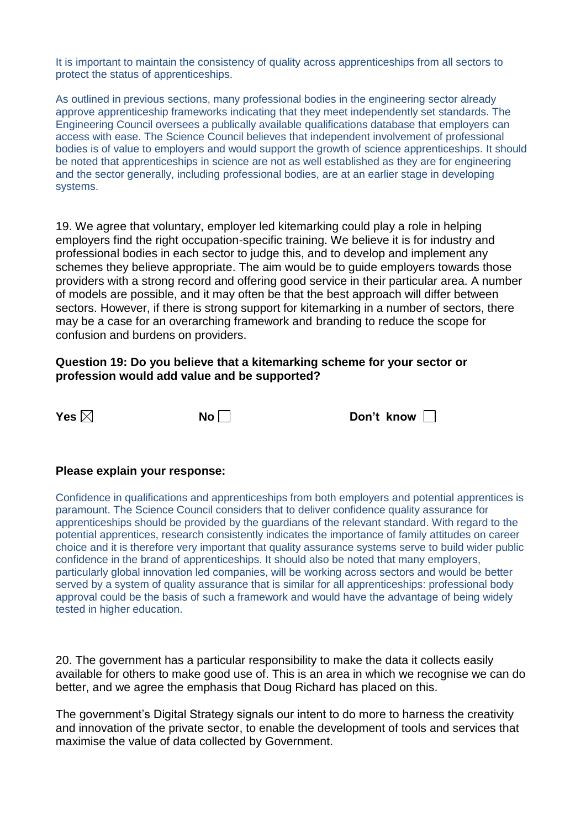It is important to maintain the consistency of quality across apprenticeships from all sectors to protect the status of apprenticeships.

As outlined in previous sections, many professional bodies in the engineering sector already approve apprenticeship frameworks indicating that they meet independently set standards. The Engineering Council oversees a publically available qualifications database that employers can access with ease. The Science Council believes that independent involvement of professional bodies is of value to employers and would support the growth of science apprenticeships. It should be noted that apprenticeships in science are not as well established as they are for engineering and the sector generally, including professional bodies, are at an earlier stage in developing systems.

19. We agree that voluntary, employer led kitemarking could play a role in helping employers find the right occupation-specific training. We believe it is for industry and professional bodies in each sector to judge this, and to develop and implement any schemes they believe appropriate. The aim would be to guide employers towards those providers with a strong record and offering good service in their particular area. A number of models are possible, and it may often be that the best approach will differ between sectors. However, if there is strong support for kitemarking in a number of sectors, there may be a case for an overarching framework and branding to reduce the scope for confusion and burdens on providers.

#### **Question 19: Do you believe that a kitemarking scheme for your sector or profession would add value and be supported?**

**Yes ⊠** No Don't know D

#### **Please explain your response:**

Confidence in qualifications and apprenticeships from both employers and potential apprentices is paramount. The Science Council considers that to deliver confidence quality assurance for apprenticeships should be provided by the guardians of the relevant standard. With regard to the potential apprentices, research consistently indicates the importance of family attitudes on career choice and it is therefore very important that quality assurance systems serve to build wider public confidence in the brand of apprenticeships. It should also be noted that many employers, particularly global innovation led companies, will be working across sectors and would be better served by a system of quality assurance that is similar for all apprenticeships: professional body approval could be the basis of such a framework and would have the advantage of being widely tested in higher education.

20. The government has a particular responsibility to make the data it collects easily available for others to make good use of. This is an area in which we recognise we can do better, and we agree the emphasis that Doug Richard has placed on this.

The government's Digital Strategy signals our intent to do more to harness the creativity and innovation of the private sector, to enable the development of tools and services that maximise the value of data collected by Government.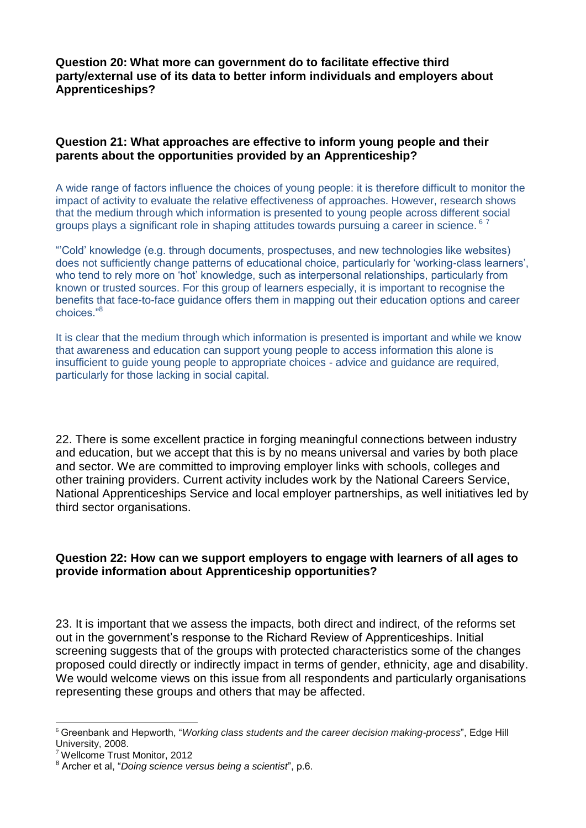**Question 20: What more can government do to facilitate effective third party/external use of its data to better inform individuals and employers about Apprenticeships?**

## **Question 21: What approaches are effective to inform young people and their parents about the opportunities provided by an Apprenticeship?**

A wide range of factors influence the choices of young people: it is therefore difficult to monitor the impact of activity to evaluate the relative effectiveness of approaches. However, research shows that the medium through which information is presented to young people across different social groups plays a significant role in shaping attitudes towards pursuing a career in science. <sup>6</sup> <sup>7</sup>

"'Cold' knowledge (e.g. through documents, prospectuses, and new technologies like websites) does not sufficiently change patterns of educational choice, particularly for 'working-class learners', who tend to rely more on 'hot' knowledge, such as interpersonal relationships, particularly from known or trusted sources. For this group of learners especially, it is important to recognise the benefits that face-to-face guidance offers them in mapping out their education options and career choices."<sup>8</sup>

It is clear that the medium through which information is presented is important and while we know that awareness and education can support young people to access information this alone is insufficient to guide young people to appropriate choices - advice and guidance are required, particularly for those lacking in social capital.

22. There is some excellent practice in forging meaningful connections between industry and education, but we accept that this is by no means universal and varies by both place and sector. We are committed to improving employer links with schools, colleges and other training providers. Current activity includes work by the National Careers Service, National Apprenticeships Service and local employer partnerships, as well initiatives led by third sector organisations.

## **Question 22: How can we support employers to engage with learners of all ages to provide information about Apprenticeship opportunities?**

23. It is important that we assess the impacts, both direct and indirect, of the reforms set out in the government's response to the Richard Review of Apprenticeships. Initial screening suggests that of the groups with protected characteristics some of the changes proposed could directly or indirectly impact in terms of gender, ethnicity, age and disability. We would welcome views on this issue from all respondents and particularly organisations representing these groups and others that may be affected.

1

<sup>6</sup> Greenbank and Hepworth, "*Working class students and the career decision making-process*", Edge Hill University, 2008.

<sup>7</sup> Wellcome Trust Monitor, 2012

<sup>8</sup> Archer et al, "*Doing science versus being a scientist*", p.6. **a**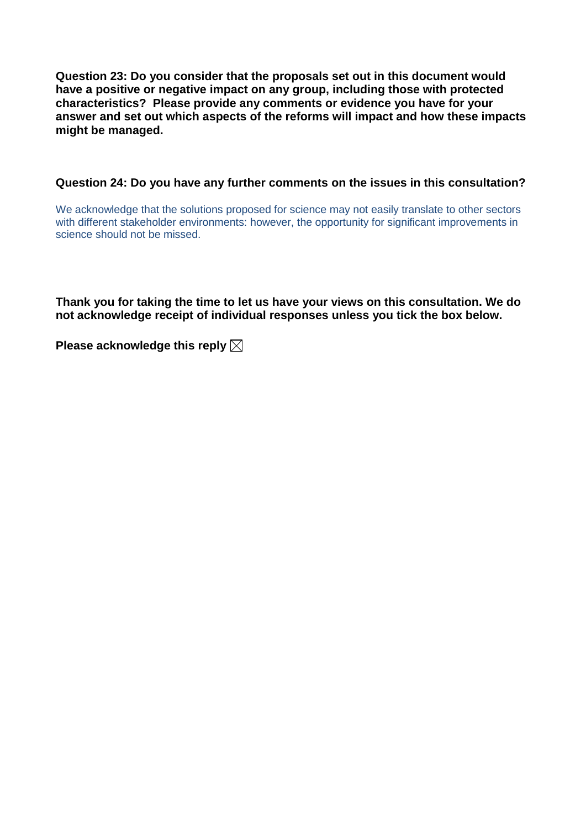**Question 23: Do you consider that the proposals set out in this document would have a positive or negative impact on any group, including those with protected characteristics? Please provide any comments or evidence you have for your answer and set out which aspects of the reforms will impact and how these impacts might be managed.**

#### **Question 24: Do you have any further comments on the issues in this consultation?**

We acknowledge that the solutions proposed for science may not easily translate to other sectors with different stakeholder environments: however, the opportunity for significant improvements in science should not be missed.

**Thank you for taking the time to let us have your views on this consultation. We do not acknowledge receipt of individual responses unless you tick the box below.**

**Please acknowledge this reply**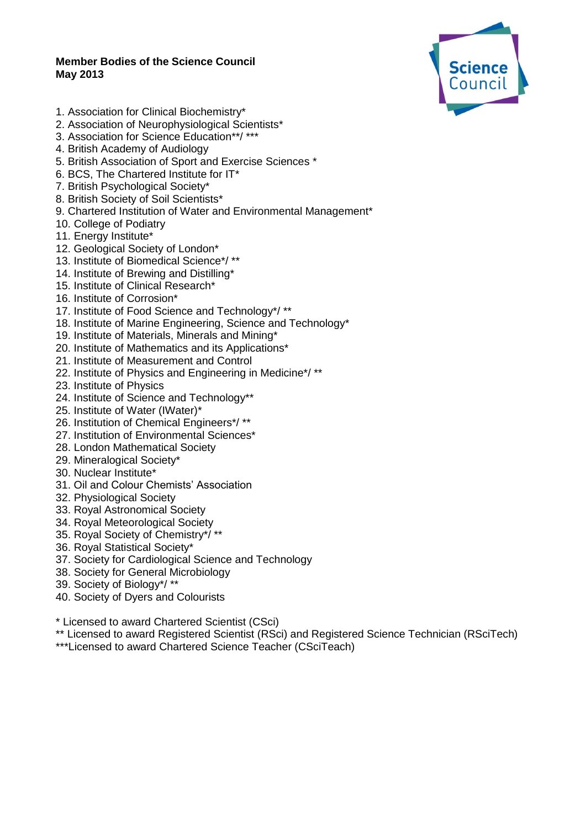#### **Member Bodies of the Science Council May 2013**



- 1. Association for Clinical Biochemistry\*
- 2. Association of Neurophysiological Scientists\*
- 3. Association for Science Education\*\*/ \*\*\*
- 4. British Academy of Audiology
- 5. British Association of Sport and Exercise Sciences \*
- 6. BCS, The Chartered Institute for IT\*
- 7. British Psychological Society\*
- 8. British Society of Soil Scientists\*
- 9. Chartered Institution of Water and Environmental Management\*
- 10. College of Podiatry
- 11. Energy Institute\*
- 12. Geological Society of London\*
- 13. Institute of Biomedical Science\*/ \*\*
- 14. Institute of Brewing and Distilling\*
- 15. Institute of Clinical Research\*
- 16. Institute of Corrosion\*
- 17. Institute of Food Science and Technology\*/ \*\*
- 18. Institute of Marine Engineering, Science and Technology\*
- 19. Institute of Materials, Minerals and Mining\*
- 20. Institute of Mathematics and its Applications\*
- 21. Institute of Measurement and Control
- 22. Institute of Physics and Engineering in Medicine\*/ \*\*
- 23. Institute of Physics
- 24. Institute of Science and Technology\*\*
- 25. Institute of Water (IWater)\*
- 26. Institution of Chemical Engineers\*/ \*\*
- 27. Institution of Environmental Sciences\*
- 28. London Mathematical Society
- 29. Mineralogical Society\*
- 30. Nuclear Institute\*
- 31. Oil and Colour Chemists' Association
- 32. Physiological Society
- 33. Royal Astronomical Society
- 34. Royal Meteorological Society
- 35. Royal Society of Chemistry\*/ \*\*
- 36. Royal Statistical Society\*
- 37. Society for Cardiological Science and Technology
- 38. Society for General Microbiology
- 39. Society of Biology\*/ \*\*
- 40. Society of Dyers and Colourists
- \* Licensed to award Chartered Scientist (CSci)
- \*\* Licensed to award Registered Scientist (RSci) and Registered Science Technician (RSciTech)
- \*\*\*Licensed to award Chartered Science Teacher (CSciTeach)